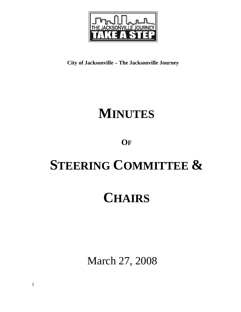

**City of Jacksonville – The Jacksonville Journey** 

# **MINUTES**

### **OF**

# **STEERING COMMITTEE &**

## **CHAIRS**

March 27, 2008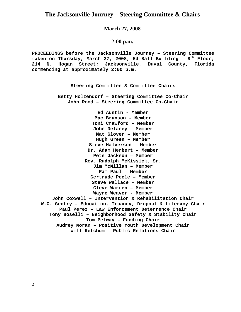#### **The Jacksonville Journey – Steering Committee & Chairs**

#### **March 27, 2008**

#### **2:00 p.m.**

**PROCEEDINGS before the Jacksonville Journey – Steering Committee taken on Thursday, March 27, 2008, Ed Ball Building – 8th Floor; 214 N. Hogan Street; Jacksonville, Duval County, Florida commencing at approximately 2:00 p.m.** 

**Steering Committee & Committee Chairs**

**Betty Holzendorf – Steering Committee Co-Chair John Rood – Steering Committee Co-Chair** 

**Ed Austin - Member Mac Brunson - Member Toni Crawford – Member John Delaney – Member Nat Glover – Member Hugh Green – Member Steve Halverson – Member Dr. Adam Herbert – Member Pete Jackson – Member Rev. Rudolph McKissick, Sr. Jim McMillan – Member Pam Paul – Member Gertrude Peele – Member Steve Wallace – Member Cleve Warren – Member Wayne Weaver - Member John Coxwell – Intervention & Rehabilitation Chair W.C. Gentry – Education, Truancy, Dropout & Literacy Chair Paul Perez – Law Enforcement Deterrence Chair Tony Boselli – Neighborhood Safety & Stability Chair Tom Petway – Funding Chair Audrey Moran – Positive Youth Development Chair Will Ketchum – Public Relations Chair**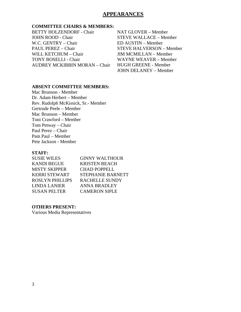#### **APPEARANCES**

#### **COMMITTEE CHAIRS & MEMBERS:**

BETTY HOLZENDORF - Chair JOHN ROOD - Chair W.C. GENTRY – Chair PAUL PEREZ – Chair WILL KETCHUM – Chair TONY BOSELLI - Chair AUDREY MCKIBBIN MORAN – Chair NAT GLOVER – Member STEVE WALLACE – Member ED AUSTIN – Member STEVE HALVERSON – Member JIM MCMILLAN – Member WAYNE WEAVER – Member HUGH GREENE - Member JOHN DELANEY – Member

#### **ABSENT COMMITTEE MEMBERS:**

Mac Brunson - Member Dr. Adam Herbert – Member Rev. Rudolph McKissick, Sr.- Member Gertrude Peele – Member Mac Brunson – Member Toni Crawford – Member Tom Petway – Chair Paul Perez – Chair Pam Paul – Member Pete Jackson - Member

#### **STAFF:**

| <b>SUSIE WILES</b>     | <b>GINNY WALTHOUR</b>    |
|------------------------|--------------------------|
| <b>KANDI BEGUE</b>     | <b>KRISTEN BEACH</b>     |
| <b>MISTY SKIPPER</b>   | <b>CHAD POPPELL</b>      |
| <b>KERRI STEWART</b>   | <b>STEPHANIE BARNETT</b> |
| <b>ROSLYN PHILLIPS</b> | <b>RACHELLE SUNDY</b>    |
| <b>LINDA LANIER</b>    | <b>ANNA BRADLEY</b>      |
| <b>SUSAN PELTER</b>    | <b>CAMERON SIPLE</b>     |

#### **OTHERS PRESENT:**

Various Media Representatives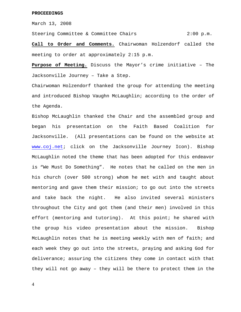March 13, 2008

Steering Committee & Committee Chairs 2:00 p.m.

**Call to Order and Comments.** Chairwoman Holzendorf called the meeting to order at approximately 2:15 p.m.

**Purpose of Meeting.** Discuss the Mayor's crime initiative – The Jacksonville Journey – Take a Step.

Chairwoman Holzendorf thanked the group for attending the meeting and introduced Bishop Vaughn McLaughlin; according to the order of the Agenda.

Bishop McLaughlin thanked the Chair and the assembled group and began his presentation on the Faith Based Coalition for Jacksonville. (All presentations can be found on the website at www.coj.net; click on the Jacksonville Journey Icon). Bishop McLaughlin noted the theme that has been adopted for this endeavor is "We Must Do Something". He notes that he called on the men in his church (over 500 strong) whom he met with and taught about mentoring and gave them their mission; to go out into the streets and take back the night. He also invited several ministers throughout the City and got them (and their men) involved in this effort (mentoring and tutoring). At this point; he shared with the group his video presentation about the mission. Bishop McLaughlin notes that he is meeting weekly with men of faith; and each week they go out into the streets, praying and asking God for deliverance; assuring the citizens they come in contact with that they will not go away – they will be there to protect them in the

4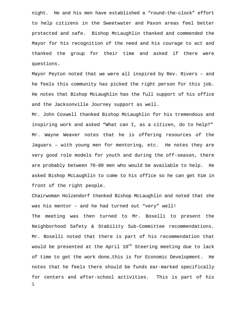night. He and his men have established a "round-the-clock" effort to help citizens in the Sweetwater and Paxon areas feel better protected and safe. Bishop McLaughlin thanked and commended the Mayor for his recognition of the need and his courage to act and thanked the group for their time and asked if there were questions.

Mayor Peyton noted that we were all inspired by Rev. Rivers – and he feels this community has picked the right person for this job. He notes that Bishop McLaughlin has the full support of his office and the Jacksonville Journey support as well.

Mr. John Coxwell thanked Bishop McLaughlin for his tremendous and inspiring work and asked "What can I, as a citizen, do to help?" Mr. Wayne Weaver notes that he is offering resources of the Jaguars – with young men for mentoring, etc. He notes they are very good role models for youth and during the off-season, there are probably between 70-80 men who would be available to help. He asked Bishop McLaughlin to come to his office so he can get him in front of the right people.

Chairwoman Holzendorf thanked Bishop McLaughlin and noted that she was his mentor – and he had turned out "very" well!

5 The meeting was then turned to Mr. Boselli to present the Neighborhood Safety & Stability Sub-Committee recommendations. Mr. Boselli noted that there is part of his recommendation that would be presented at the April  $10^{th}$  Steering meeting due to lack of time to get the work done…this is for Economic Development. He notes that he feels there should be funds ear-marked specifically for centers and after-school activities. This is part of his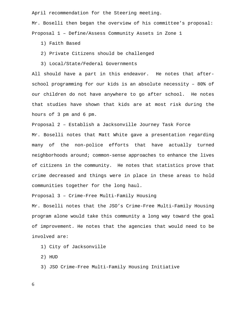April recommendation for the Steering meeting.

Mr. Boselli then began the overview of his committee's proposal: Proposal 1 – Define/Assess Community Assets in Zone 1

1) Faith Based

- 2) Private Citizens should be challenged
- 3) Local/State/Federal Governments

All should have a part in this endeavor. He notes that afterschool programming for our kids is an absolute necessity – 80% of our children do not have anywhere to go after school. He notes that studies have shown that kids are at most risk during the hours of 3 pm and 6 pm.

Proposal 2 – Establish a Jacksonville Journey Task Force

Mr. Boselli notes that Matt White gave a presentation regarding many of the non-police efforts that have actually turned neighborhoods around; common-sense approaches to enhance the lives of citizens in the community. He notes that statistics prove that crime decreased and things were in place in these areas to hold communities together for the long haul.

Proposal 3 – Crime-Free Multi-Family Housing

Mr. Boselli notes that the JSO's Crime-Free Multi-Family Housing program alone would take this community a long way toward the goal of improvement. He notes that the agencies that would need to be involved are:

1) City of Jacksonville

2) HUD

3) JSO Crime-Free Multi-Family Housing Initiative

6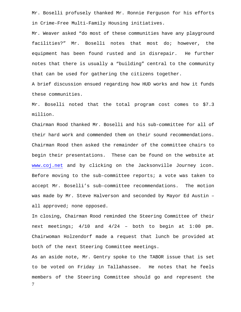Mr. Boselli profusely thanked Mr. Ronnie Ferguson for his efforts in Crime-Free Multi-Family Housing initiatives.

Mr. Weaver asked "do most of these communities have any playground facilities?" Mr. Boselli notes that most do; however, the equipment has been found rusted and in disrepair. He further notes that there is usually a "building" central to the community that can be used for gathering the citizens together.

A brief discussion ensued regarding how HUD works and how it funds these communities.

Mr. Boselli noted that the total program cost comes to \$7.3 million.

Chairman Rood thanked Mr. Boselli and his sub-committee for all of their hard work and commended them on their sound recommendations. Chairman Rood then asked the remainder of the committee chairs to begin their presentations. These can be found on the website at www.coj.net and by clicking on the Jacksonville Journey icon. Before moving to the sub-committee reports; a vote was taken to accept Mr. Boselli's sub-committee recommendations. The motion was made by Mr. Steve Halverson and seconded by Mayor Ed Austin – all approved; none opposed.

In closing, Chairman Rood reminded the Steering Committee of their next meetings; 4/10 and 4/24 – both to begin at 1:00 pm. Chairwoman Holzendorf made a request that lunch be provided at both of the next Steering Committee meetings.

7 As an aside note, Mr. Gentry spoke to the TABOR issue that is set to be voted on Friday in Tallahassee. He notes that he feels members of the Steering Committee should go and represent the